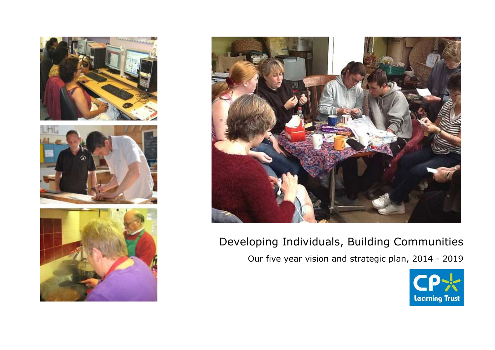







# Developing Individuals, Building Communities Our five year vision and strategic plan, 2014 - 2019

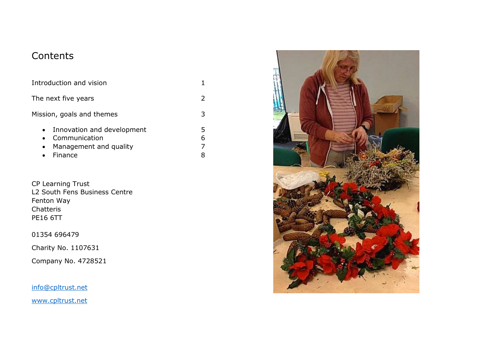# **Contents**

| Introduction and vision                                                                                      |        |
|--------------------------------------------------------------------------------------------------------------|--------|
| The next five years                                                                                          |        |
| Mission, goals and themes                                                                                    | 3      |
| • Innovation and development<br>Communication<br>$\bullet$<br>Management and quality<br>$\bullet$<br>Finance | 5<br>6 |

CP Learning Trust L2 South Fens Business Centre Fenton Way Chatteris PE16 6TT

01354 696479

Charity No. 1107631

Company No. 4728521

[info@cpltrust.net](mailto:info@cpltrust.net)

[www.cpltrust.net](http://www.cpltrust.net/)

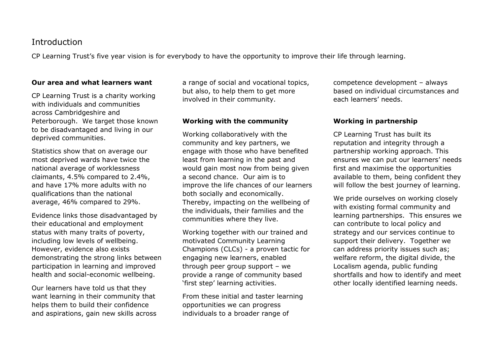### **Introduction**

CP Learning Trust's five year vision is for everybody to have the opportunity to improve their life through learning.

#### **Our area and what learners want**

CP Learning Trust is a charity working with individuals and communities across Cambridgeshire and Peterborough. We target those known to be disadvantaged and living in our deprived communities.

Statistics show that on average our most deprived wards have twice the national average of worklessness claimants, 4.5% compared to 2.4%, and have 17% more adults with no qualifications than the national average, 46% compared to 29%.

Evidence links those disadvantaged by their educational and employment status with many traits of poverty, including low levels of wellbeing. However, evidence also exists demonstrating the strong links between participation in learning and improved health and social-economic wellbeing.

Our learners have told us that they want learning in their community that helps them to build their confidence and aspirations, gain new skills across a range of social and vocational topics, but also, to help them to get more involved in their community.

#### **Working with the community**

Working collaboratively with the community and key partners, we engage with those who have benefited least from learning in the past and would gain most now from being given a second chance. Our aim is to improve the life chances of our learners both socially and economically. Thereby, impacting on the wellbeing of the individuals, their families and the communities where they live.

Working together with our trained and motivated Community Learning Champions (CLCs) - a proven tactic for engaging new learners, enabled through peer group support – we provide a range of community based 'first step' learning activities.

From these initial and taster learning opportunities we can progress individuals to a broader range of

competence development – always based on individual circumstances and each learners' needs.

#### **Working in partnership**

CP Learning Trust has built its reputation and integrity through a partnership working approach. This ensures we can put our learners' needs first and maximise the opportunities available to them, being confident they will follow the best journey of learning.

We pride ourselves on working closely with existing formal community and learning partnerships. This ensures we can contribute to local policy and strategy and our services continue to support their delivery. Together we can address priority issues such as; welfare reform, the digital divide, the Localism agenda, public funding shortfalls and how to identify and meet other locally identified learning needs.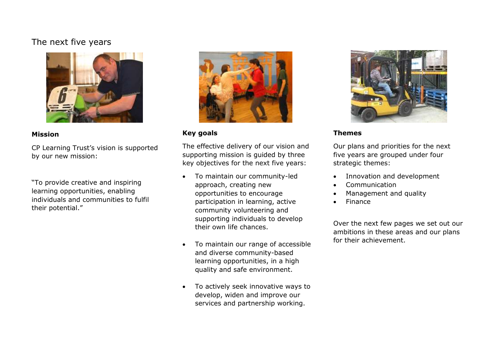# The next five years



#### **Mission**

CP Learning Trust's vision is supported by our new mission:

"To provide creative and inspiring learning opportunities, enabling individuals and communities to fulfil their potential."



#### **Key goals**

The effective delivery of our vision and supporting mission is guided by three key objectives for the next five years:

- To maintain our community-led approach, creating new opportunities to encourage participation in learning, active community volunteering and supporting individuals to develop their own life chances.
- To maintain our range of accessible and diverse community-based learning opportunities, in a high quality and safe environment.
- To actively seek innovative ways to develop, widen and improve our services and partnership working.



#### **Themes**

Our plans and priorities for the next five years are grouped under four strategic themes:

- Innovation and development
- Communication
- Management and quality
- Finance

Over the next few pages we set out our ambitions in these areas and our plans for their achievement.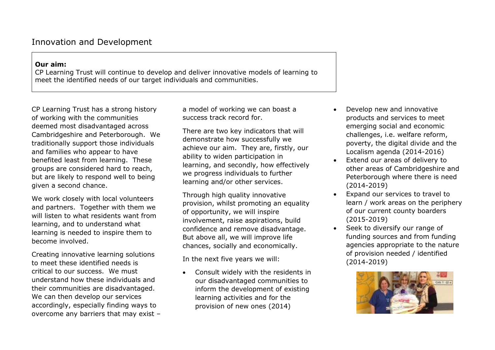# Innovation and Development

#### **Our aim:**

CP Learning Trust will continue to develop and deliver innovative models of learning to meet the identified needs of our target individuals and communities.

CP Learning Trust has a strong history of working with the communities deemed most disadvantaged across Cambridgeshire and Peterborough. We traditionally support those individuals and families who appear to have benefited least from learning. These groups are considered hard to reach, but are likely to respond well to being given a second chance.

We work closely with local volunteers and partners. Together with them we will listen to what residents want from learning, and to understand what learning is needed to inspire them to become involved.

Creating innovative learning solutions to meet these identified needs is critical to our success. We must understand how these individuals and their communities are disadvantaged. We can then develop our services accordingly, especially finding ways to overcome any barriers that may exist – a model of working we can boast a success track record for.

There are two key indicators that will demonstrate how successfully we achieve our aim. They are, firstly, our ability to widen participation in learning, and secondly, how effectively we progress individuals to further learning and/or other services.

Through high quality innovative provision, whilst promoting an equality of opportunity, we will inspire involvement, raise aspirations, build confidence and remove disadvantage. But above all, we will improve life chances, socially and economically.

In the next five years we will:

 Consult widely with the residents in our disadvantaged communities to inform the development of existing learning activities and for the provision of new ones (2014)

- Develop new and innovative products and services to meet emerging social and economic challenges, i.e. welfare reform, poverty, the digital divide and the Localism agenda (2014-2016)
- Extend our areas of delivery to other areas of Cambridgeshire and Peterborough where there is need (2014-2019)
- Expand our services to travel to learn / work areas on the periphery of our current county boarders (2015-2019)
- Seek to diversify our range of funding sources and from funding agencies appropriate to the nature of provision needed / identified (2014-2019)

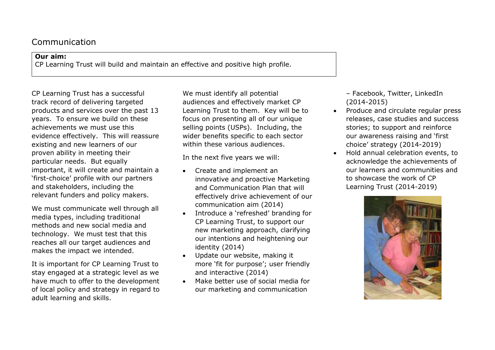## Communication

#### **Our aim:**

CP Learning Trust will build and maintain an effective and positive high profile.

CP Learning Trust has a successful track record of delivering targeted products and services over the past 13 years. To ensure we build on these achievements we must use this evidence effectively. This will reassure existing and new learners of our proven ability in meeting their particular needs. But equally important, it will create and maintain a 'first-choice' profile with our partners and stakeholders, including the relevant funders and policy makers.

We must communicate well through all media types, including traditional methods and new social media and technology. We must test that this reaches all our target audiences and makes the impact we intended.

It is important for CP Learning Trust to stay engaged at a strategic level as we have much to offer to the development of local policy and strategy in regard to adult learning and skills.

We must identify all potential audiences and effectively market CP Learning Trust to them. Key will be to focus on presenting all of our unique selling points (USPs). Including, the wider benefits specific to each sector within these various audiences.

In the next five years we will:

- Create and implement an innovative and proactive Marketing and Communication Plan that will effectively drive achievement of our communication aim (2014)
- Introduce a 'refreshed' branding for CP Learning Trust, to support our new marketing approach, clarifying our intentions and heightening our identity (2014)
- Update our website, making it more 'fit for purpose'; user friendly and interactive (2014)
- Make better use of social media for our marketing and communication

– Facebook, Twitter, LinkedIn (2014-2015)

- Produce and circulate regular press releases, case studies and success stories; to support and reinforce our awareness raising and 'first choice' strategy (2014-2019)
- Hold annual celebration events, to acknowledge the achievements of our learners and communities and to showcase the work of CP Learning Trust (2014-2019)

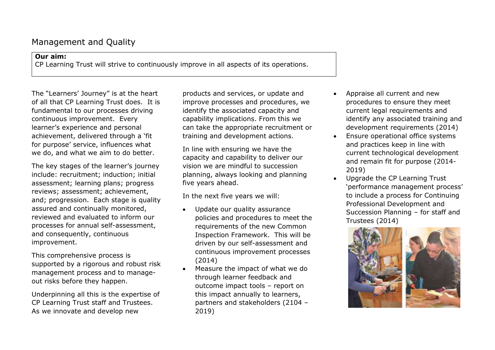# Management and Quality

#### **Our aim:**

CP Learning Trust will strive to continuously improve in all aspects of its operations.

The "Learners' Journey" is at the heart of all that CP Learning Trust does. It is fundamental to our processes driving continuous improvement. Every learner's experience and personal achievement, delivered through a 'fit for purpose' service, influences what we do, and what we aim to do better.

The key stages of the learner's journey include: recruitment; induction; initial assessment; learning plans; progress reviews; assessment; achievement, and; progression. Each stage is quality assured and continually monitored, reviewed and evaluated to inform our processes for annual self-assessment, and consequently, continuous improvement.

This comprehensive process is supported by a rigorous and robust risk management process and to manageout risks before they happen.

Underpinning all this is the expertise of CP Learning Trust staff and Trustees. As we innovate and develop new

products and services, or update and improve processes and procedures, we identify the associated capacity and capability implications. From this we can take the appropriate recruitment or training and development actions.

In line with ensuring we have the capacity and capability to deliver our vision we are mindful to succession planning, always looking and planning five years ahead.

In the next five years we will:

- Update our quality assurance policies and procedures to meet the requirements of the new Common Inspection Framework. This will be driven by our self-assessment and continuous improvement processes (2014)
- Measure the impact of what we do through learner feedback and outcome impact tools – report on this impact annually to learners, partners and stakeholders (2104 – 2019)
- Appraise all current and new procedures to ensure they meet current legal requirements and identify any associated training and development requirements (2014)
- Ensure operational office systems and practices keep in line with current technological development and remain fit for purpose (2014- 2019)
- Upgrade the CP Learning Trust 'performance management process' to include a process for Continuing Professional Development and Succession Planning – for staff and Trustees (2014)